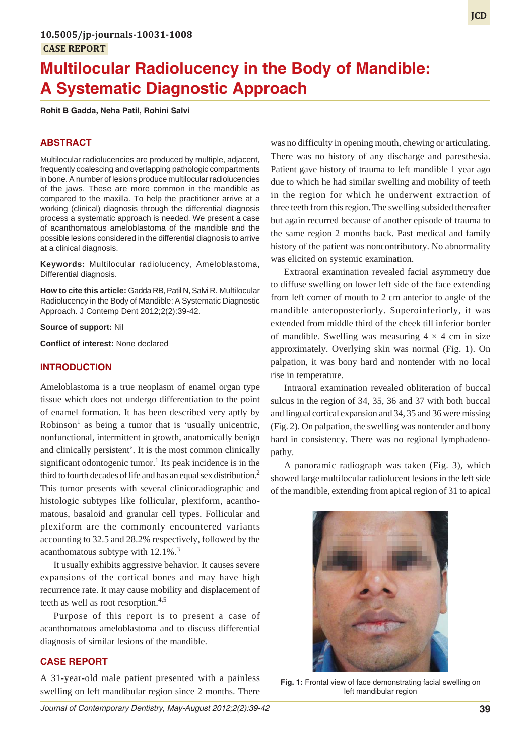# **Multilocular Radiolucency in the Body of Mandible: A Systematic Diagnostic Approach**

**Rohit B Gadda, Neha Patil, Rohini Salvi**

## **ABSTRACT**

Multilocular radiolucencies are produced by multiple, adjacent, frequently coalescing and overlapping pathologic compartments in bone. A number of lesions produce multilocular radiolucencies of the jaws. These are more common in the mandible as compared to the maxilla. To help the practitioner arrive at a working (clinical) diagnosis through the differential diagnosis process a systematic approach is needed. We present a case of acanthomatous ameloblastoma of the mandible and the possible lesions considered in the differential diagnosis to arrive at a clinical diagnosis.

**Keywords:** Multilocular radiolucency, Ameloblastoma, Differential diagnosis.

**How to cite this article:** Gadda RB, Patil N, Salvi R. Multilocular Radiolucency in the Body of Mandible: A Systematic Diagnostic Approach. J Contemp Dent 2012;2(2):39-42.

**Source of support:** Nil

**Conflict of interest:** None declared

#### **INTRODUCTION**

Ameloblastoma is a true neoplasm of enamel organ type tissue which does not undergo differentiation to the point of enamel formation. It has been described very aptly by Robinson<sup>1</sup> as being a tumor that is 'usually unicentric, nonfunctional, intermittent in growth, anatomically benign and clinically persistent'. It is the most common clinically significant odontogenic tumor.<sup>1</sup> Its peak incidence is in the third to fourth decades of life and has an equal sex distribution.<sup>2</sup> This tumor presents with several clinicoradiographic and histologic subtypes like follicular, plexiform, acanthomatous, basaloid and granular cell types. Follicular and plexiform are the commonly encountered variants accounting to 32.5 and 28.2% respectively, followed by the acanthomatous subtype with  $12.1\%$ .<sup>3</sup>

It usually exhibits aggressive behavior. It causes severe expansions of the cortical bones and may have high recurrence rate. It may cause mobility and displacement of teeth as well as root resorption.4,5

Purpose of this report is to present a case of acanthomatous ameloblastoma and to discuss differential diagnosis of similar lesions of the mandible.

#### **CASE REPORT**

A 31-year-old male patient presented with a painless swelling on left mandibular region since 2 months. There was no difficulty in opening mouth, chewing or articulating. There was no history of any discharge and paresthesia. Patient gave history of trauma to left mandible 1 year ago due to which he had similar swelling and mobility of teeth in the region for which he underwent extraction of three teeth from this region. The swelling subsided thereafter but again recurred because of another episode of trauma to the same region 2 months back. Past medical and family history of the patient was noncontributory. No abnormality was elicited on systemic examination.

Extraoral examination revealed facial asymmetry due to diffuse swelling on lower left side of the face extending from left corner of mouth to 2 cm anterior to angle of the mandible anteroposteriorly. Superoinferiorly, it was extended from middle third of the cheek till inferior border of mandible. Swelling was measuring  $4 \times 4$  cm in size approximately. Overlying skin was normal (Fig. 1). On palpation, it was bony hard and nontender with no local rise in temperature.

Intraoral examination revealed obliteration of buccal sulcus in the region of 34, 35, 36 and 37 with both buccal and lingual cortical expansion and 34, 35 and 36 were missing (Fig. 2). On palpation, the swelling was nontender and bony hard in consistency. There was no regional lymphadenopathy.

A panoramic radiograph was taken (Fig. 3), which showed large multilocular radiolucent lesions in the left side of the mandible, extending from apical region of 31 to apical



**Fig. 1:** Frontal view of face demonstrating facial swelling on left mandibular region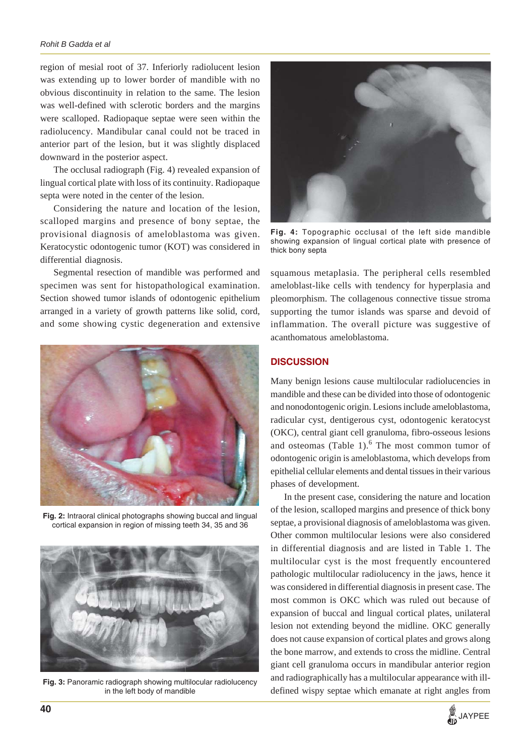region of mesial root of 37. Inferiorly radiolucent lesion was extending up to lower border of mandible with no obvious discontinuity in relation to the same. The lesion was well-defined with sclerotic borders and the margins were scalloped. Radiopaque septae were seen within the radiolucency. Mandibular canal could not be traced in anterior part of the lesion, but it was slightly displaced downward in the posterior aspect.

The occlusal radiograph (Fig. 4) revealed expansion of lingual cortical plate with loss of its continuity. Radiopaque septa were noted in the center of the lesion.

Considering the nature and location of the lesion, scalloped margins and presence of bony septae, the provisional diagnosis of ameloblastoma was given. Keratocystic odontogenic tumor (KOT) was considered in differential diagnosis.

Segmental resection of mandible was performed and specimen was sent for histopathological examination. Section showed tumor islands of odontogenic epithelium arranged in a variety of growth patterns like solid, cord, and some showing cystic degeneration and extensive



**Fig. 2:** Intraoral clinical photographs showing buccal and lingual cortical expansion in region of missing teeth 34, 35 and 36



**Fig. 3:** Panoramic radiograph showing multilocular radiolucency in the left body of mandible



**Fig. 4:** Topographic occlusal of the left side mandible showing expansion of lingual cortical plate with presence of thick bony septa

squamous metaplasia. The peripheral cells resembled ameloblast-like cells with tendency for hyperplasia and pleomorphism. The collagenous connective tissue stroma supporting the tumor islands was sparse and devoid of inflammation. The overall picture was suggestive of acanthomatous ameloblastoma.

## **DISCUSSION**

Many benign lesions cause multilocular radiolucencies in mandible and these can be divided into those of odontogenic and nonodontogenic origin. Lesions include ameloblastoma, radicular cyst, dentigerous cyst, odontogenic keratocyst (OKC), central giant cell granuloma, fibro-osseous lesions and osteomas (Table  $1$ ).<sup>6</sup> The most common tumor of odontogenic origin is ameloblastoma, which develops from epithelial cellular elements and dental tissues in their various phases of development.

In the present case, considering the nature and location of the lesion, scalloped margins and presence of thick bony septae, a provisional diagnosis of ameloblastoma was given. Other common multilocular lesions were also considered in differential diagnosis and are listed in Table 1. The multilocular cyst is the most frequently encountered pathologic multilocular radiolucency in the jaws, hence it was considered in differential diagnosis in present case. The most common is OKC which was ruled out because of expansion of buccal and lingual cortical plates, unilateral lesion not extending beyond the midline. OKC generally does not cause expansion of cortical plates and grows along the bone marrow, and extends to cross the midline. Central giant cell granuloma occurs in mandibular anterior region and radiographically has a multilocular appearance with illdefined wispy septae which emanate at right angles from

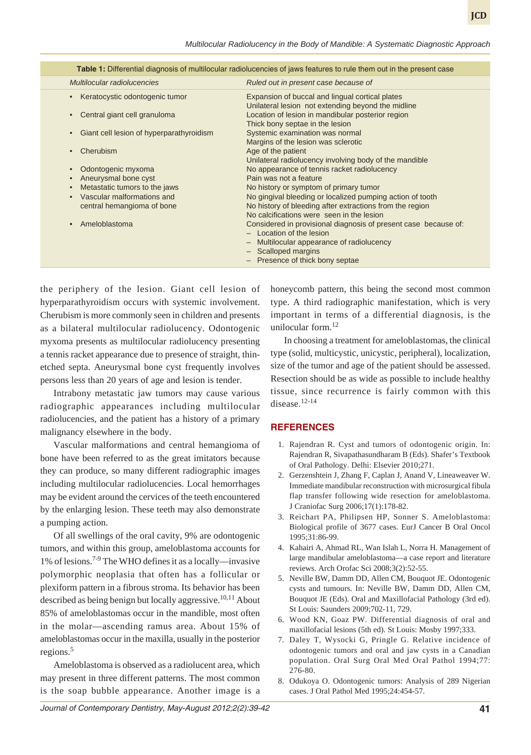*Multilocular Radiolucency in the Body of Mandible: A Systematic Diagnostic Approach*

| Table 1: Differential diagnosis of multilocular radiolucencies of jaws features to rule them out in the present case |                                                                                                                                            |  |  |
|----------------------------------------------------------------------------------------------------------------------|--------------------------------------------------------------------------------------------------------------------------------------------|--|--|
| Multilocular radiolucencies                                                                                          | Ruled out in present case because of                                                                                                       |  |  |
| Keratocystic odontogenic tumor                                                                                       | Expansion of buccal and lingual cortical plates<br>Unilateral lesion not extending beyond the midline                                      |  |  |
| Central giant cell granuloma                                                                                         | Location of lesion in mandibular posterior region<br>Thick bony septae in the lesion                                                       |  |  |
| Giant cell lesion of hyperparathyroidism                                                                             | Systemic examination was normal<br>Margins of the lesion was sclerotic                                                                     |  |  |
| Cherubism                                                                                                            | Age of the patient<br>Unilateral radiolucency involving body of the mandible                                                               |  |  |
| Odontogenic myxoma                                                                                                   | No appearance of tennis racket radiolucency                                                                                                |  |  |
| Aneurysmal bone cyst                                                                                                 | Pain was not a feature                                                                                                                     |  |  |
| Metastatic tumors to the jaws                                                                                        | No history or symptom of primary tumor                                                                                                     |  |  |
| Vascular malformations and<br>$\bullet$                                                                              | No gingival bleeding or localized pumping action of tooth                                                                                  |  |  |
| central hemangioma of bone                                                                                           | No history of bleeding after extractions from the region                                                                                   |  |  |
|                                                                                                                      | No calcifications were seen in the lesion                                                                                                  |  |  |
| Ameloblastoma                                                                                                        | Considered in provisional diagnosis of present case because of:<br>$-$ Location of the lesion<br>- Multilocular appearance of radiolucency |  |  |
|                                                                                                                      | - Scalloped margins                                                                                                                        |  |  |
|                                                                                                                      | - Presence of thick bony septae                                                                                                            |  |  |

the periphery of the lesion. Giant cell lesion of hyperparathyroidism occurs with systemic involvement. Cherubism is more commonly seen in children and presents as a bilateral multilocular radiolucency. Odontogenic myxoma presents as multilocular radiolucency presenting a tennis racket appearance due to presence of straight, thinetched septa. Aneurysmal bone cyst frequently involves persons less than 20 years of age and lesion is tender.

Intrabony metastatic jaw tumors may cause various radiographic appearances including multilocular radiolucencies, and the patient has a history of a primary malignancy elsewhere in the body.

Vascular malformations and central hemangioma of bone have been referred to as the great imitators because they can produce, so many different radiographic images including multilocular radiolucencies. Local hemorrhages may be evident around the cervices of the teeth encountered by the enlarging lesion. These teeth may also demonstrate a pumping action.

Of all swellings of the oral cavity, 9% are odontogenic tumors, and within this group, ameloblastoma accounts for 1% of lesions.7-9 The WHO defines it as a locally—invasive polymorphic neoplasia that often has a follicular or plexiform pattern in a fibrous stroma. Its behavior has been described as being benign but locally aggressive.<sup>10,11</sup> About 85% of ameloblastomas occur in the mandible, most often in the molar—ascending ramus area. About 15% of ameloblastomas occur in the maxilla, usually in the posterior regions.<sup>5</sup>

Ameloblastoma is observed as a radiolucent area, which may present in three different patterns. The most common is the soap bubble appearance. Another image is a

honeycomb pattern, this being the second most common type. A third radiographic manifestation, which is very important in terms of a differential diagnosis, is the unilocular form. $^{12}$ 

In choosing a treatment for ameloblastomas, the clinical type (solid, multicystic, unicystic, peripheral), localization, size of the tumor and age of the patient should be assessed. Resection should be as wide as possible to include healthy tissue, since recurrence is fairly common with this disease. $12-14$ 

# **REFERENCES**

- 1. Rajendran R. Cyst and tumors of odontogenic origin. In: Rajendran R, Sivapathasundharam B (Eds). Shafer's Textbook of Oral Pathology. Delhi: Elsevier 2010;271.
- 2. Gerzenshtein J, Zhang F, Caplan J, Anand V, Lineaweaver W. Immediate mandibular reconstruction with microsurgical fibula flap transfer following wide resection for ameloblastoma. J Craniofac Surg 2006;17(1):178-82.
- 3. Reichart PA, Philipsen HP, Sonner S. Ameloblastoma: Biological profile of 3677 cases. EurJ Cancer B Oral Oncol 1995;31:86-99.
- 4. Kahairi A, Ahmad RL, Wan Islah L, Norra H. Management of large mandibular ameloblastoma—a case report and literature reviews. Arch Orofac Sci 2008;3(2):52-55.
- 5. Neville BW, Damm DD, Allen CM, Bouquot JE. Odontogenic cysts and tumours. In: Neville BW, Damm DD, Allen CM, Bouquot JE (Eds). Oral and Maxillofacial Pathology (3rd ed). St Louis: Saunders 2009;702-11, 729.
- 6. Wood KN, Goaz PW. Differential diagnosis of oral and maxillofacial lesions (5th ed). St Louis: Mosby 1997;333.
- 7. Daley T, Wysocki G, Pringle G. Relative incidence of odontogenic tumors and oral and jaw cysts in a Canadian population. Oral Surg Oral Med Oral Pathol 1994;77: 276-80.
- 8. Odukoya O. Odontogenic tumors: Analysis of 289 Nigerian cases. J Oral Pathol Med 1995;24:454-57.